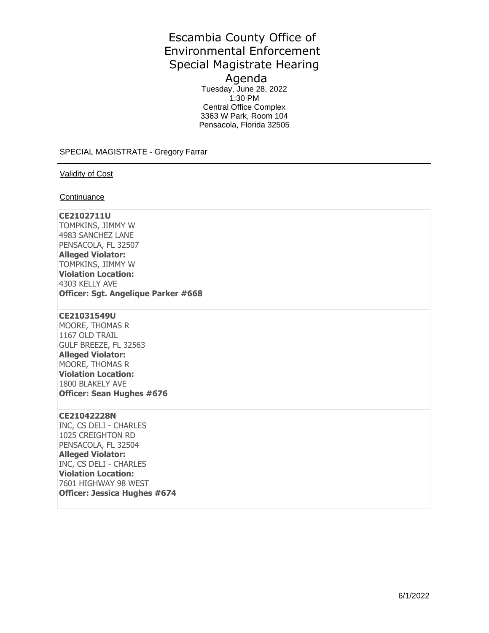# Escambia County Office of Environmental Enforcement Special Magistrate Hearing Agenda

Tuesday, June 28, 2022 1:30 PM Central Office Complex 3363 W Park, Room 104 Pensacola, Florida 32505

SPECIAL MAGISTRATE - Gregory Farrar

Validity of Cost

**Continuance** 

## **CE2102711U**

TOMPKINS, JIMMY W 4983 SANCHEZ LANE PENSACOLA, FL 32507 **Alleged Violator:**  TOMPKINS, JIMMY W **Violation Location:**  4303 KELLY AVE **Officer: Sgt. Angelique Parker #668** 

#### **CE21031549U**

MOORE, THOMAS R 1167 OLD TRAIL GULF BREEZE, FL 32563 **Alleged Violator:**  MOORE, THOMAS R **Violation Location:**  1800 BLAKELY AVE **Officer: Sean Hughes #676** 

#### **CE21042228N**

INC, CS DELI - CHARLES 1025 CREIGHTON RD PENSACOLA, FL 32504 **Alleged Violator:**  INC, CS DELI - CHARLES **Violation Location:**  7601 HIGHWAY 98 WEST **Officer: Jessica Hughes #674**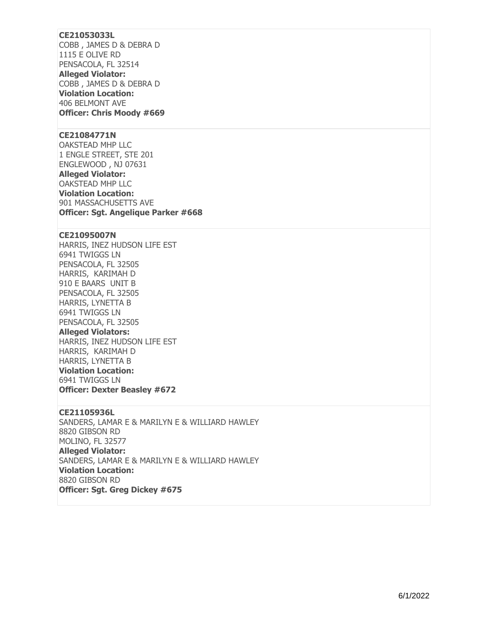## **CE21053033L**

COBB , JAMES D & DEBRA D 1115 E OLIVE RD PENSACOLA, FL 32514

**Alleged Violator:**  COBB , JAMES D & DEBRA D **Violation Location:**  406 BELMONT AVE **Officer: Chris Moody #669** 

#### **CE21084771N**

OAKSTEAD MHP LLC 1 ENGLE STREET, STE 201 ENGLEWOOD , NJ 07631 **Alleged Violator:**  OAKSTEAD MHP LLC **Violation Location:**  901 MASSACHUSETTS AVE **Officer: Sgt. Angelique Parker #668** 

#### **CE21095007N**

HARRIS, INEZ HUDSON LIFE EST 6941 TWIGGS LN PENSACOLA, FL 32505 HARRIS, KARIMAH D 910 E BAARS UNIT B PENSACOLA, FL 32505 HARRIS, LYNETTA B 6941 TWIGGS LN PENSACOLA, FL 32505 **Alleged Violators:** 

HARRIS, INEZ HUDSON LIFE EST HARRIS, KARIMAH D HARRIS, LYNETTA B **Violation Location:**  6941 TWIGGS LN **Officer: Dexter Beasley #672** 

#### **CE21105936L**

SANDERS, LAMAR E & MARILYN E & WILLIARD HAWLEY 8820 GIBSON RD MOLINO, FL 32577 **Alleged Violator:**  SANDERS, LAMAR E & MARILYN E & WILLIARD HAWLEY **Violation Location:**  8820 GIBSON RD **Officer: Sgt. Greg Dickey #675**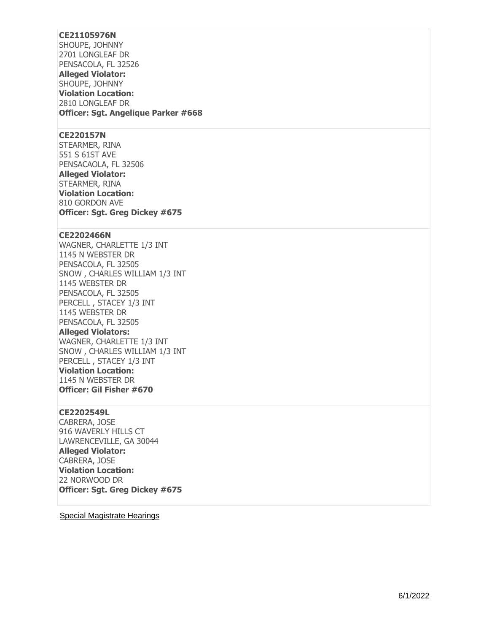## **CE21105976N**

SHOUPE, JOHNNY 2701 LONGLEAF DR PENSACOLA, FL 32526 **Alleged Violator:**  SHOUPE, JOHNNY **Violation Location:**  2810 LONGLEAF DR **Officer: Sgt. Angelique Parker #668** 

### **CE220157N**

STEARMER, RINA 551 S 61ST AVE PENSACAOLA, FL 32506 **Alleged Violator:**  STEARMER, RINA **Violation Location:**  810 GORDON AVE **Officer: Sgt. Greg Dickey #675** 

## **CE2202466N**

WAGNER, CHARLETTE 1/3 INT 1145 N WEBSTER DR PENSACOLA, FL 32505 SNOW , CHARLES WILLIAM 1/3 INT 1145 WEBSTER DR PENSACOLA, FL 32505 PERCELL , STACEY 1/3 INT 1145 WEBSTER DR PENSACOLA, FL 32505

**Alleged Violators:** 

WAGNER, CHARLETTE 1/3 INT SNOW , CHARLES WILLIAM 1/3 INT PERCELL , STACEY 1/3 INT **Violation Location:**  1145 N WEBSTER DR **Officer: Gil Fisher #670** 

#### **CE2202549L**

CABRERA, JOSE 916 WAVERLY HILLS CT LAWRENCEVILLE, GA 30044 **Alleged Violator:**  CABRERA, JOSE **Violation Location:**  22 NORWOOD DR **Officer: Sgt. Greg Dickey #675** 

Special Magistrate Hearings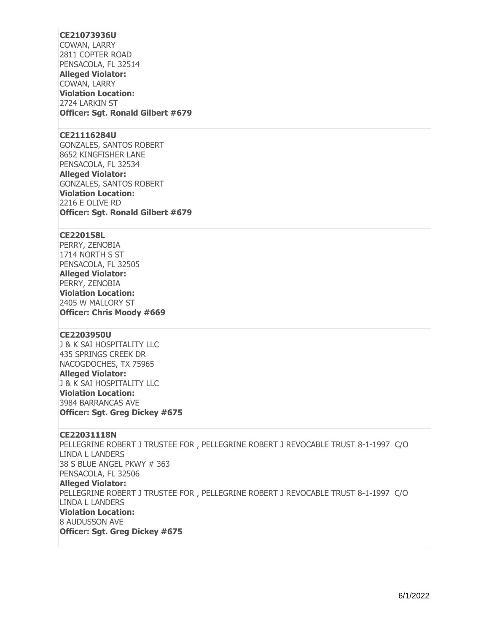# **CE21073936U**

COWAN, LARRY 2811 COPTER ROAD PENSACOLA, FL 32514 **Alleged Violator:**  COWAN, LARRY **Violation Location:**  2724 LARKIN ST **Officer: Sgt. Ronald Gilbert #679** 

#### **CE21116284U**

GONZALES, SANTOS ROBERT 8652 KINGFISHER LANE PENSACOLA, FL 32534 **Alleged Violator:**  GONZALES, SANTOS ROBERT **Violation Location:**  2216 E OLIVE RD **Officer: Sgt. Ronald Gilbert #679** 

## **CE220158L**

PERRY, ZENOBIA 1714 NORTH S ST PENSACOLA, FL 32505 **Alleged Violator:**  PERRY, ZENOBIA **Violation Location:**  2405 W MALLORY ST **Officer: Chris Moody #669** 

## **CE2203950U**

J & K SAI HOSPITALITY LLC 435 SPRINGS CREEK DR NACOGDOCHES, TX 75965 **Alleged Violator:**  J & K SAI HOSPITALITY LLC **Violation Location:**  3984 BARRANCAS AVE **Officer: Sgt. Greg Dickey #675** 

### **CE22031118N**

PELLEGRINE ROBERT J TRUSTEE FOR , PELLEGRINE ROBERT J REVOCABLE TRUST 8-1-1997 C/O LINDA L LANDERS 38 S BLUE ANGEL PKWY # 363 PENSACOLA, FL 32506 **Alleged Violator:**  PELLEGRINE ROBERT J TRUSTEE FOR , PELLEGRINE ROBERT J REVOCABLE TRUST 8-1-1997 C/O LINDA L LANDERS **Violation Location:**  8 AUDUSSON AVE **Officer: Sgt. Greg Dickey #675**